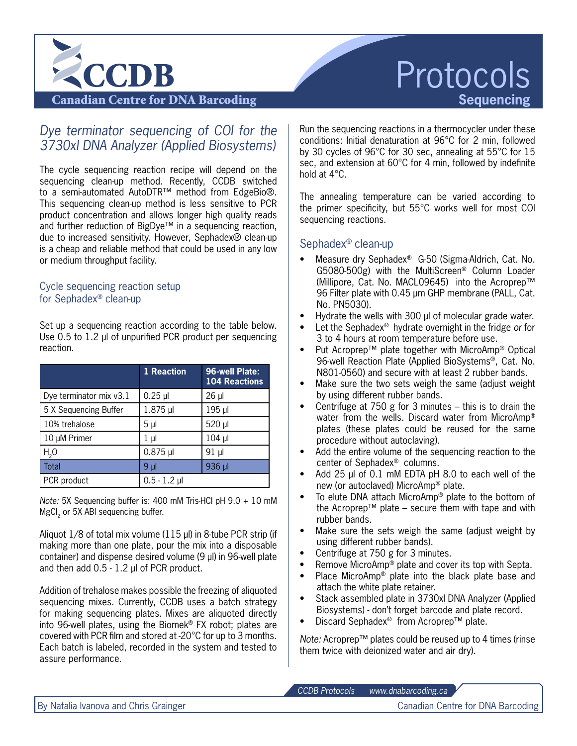

# Protocols **Sequencing**

Canadian Centre for DNA Barcoding

# *Dye terminator sequencing of COI for the* 3730xl DNA Analyzer (Applied Biosystems)

The cycle sequencing reaction recipe will depend on the sequencing clean-up method. Recently, CCDB switched to a semi-automated AutoDTR™ method from EdgeBio®. This sequencing clean-up method is less sensitive to PCR product concentration and allows longer high quality reads and further reduction of BigDye™ in a sequencing reaction, due to increased sensitivity. However, Sephadex® clean-up is a cheap and reliable method that could be used in any low or medium throughput facility.

#### Cycle sequencing reaction setup for Sephadex® clean-up

Set up a sequencing reaction according to the table below. Use 0.5 to 1.2 μl of unpurified PCR product per sequencing reaction.

|                         | 1 Reaction     | 96-well Plate:<br><b>104 Reactions</b> |
|-------------------------|----------------|----------------------------------------|
| Dye terminator mix v3.1 | $0.25$ µ       | $26 \mu$                               |
| 5 X Sequencing Buffer   | $1.875$ µ      | 195 µl                                 |
| 10% trehalose           | 5 <sub>µ</sub> | 520 µl                                 |
| 10 µM Primer            | 1 µl           | $104$ µ                                |
| H <sub>2</sub> O        | $0.875$ µl     | 91 µl                                  |
| Total                   | 9 µl           | 936 µl                                 |
| PCR product             | $0.5 - 1.2$ µl |                                        |

*Note:* 5X Sequencing buffer is: 400 mM Tris-HCl pH 9.0 + 10 mM MgCl<sub>2</sub> or 5X ABI sequencing buffer.

Aliquot 1/8 of total mix volume (115 µl) in 8-tube PCR strip (if making more than one plate, pour the mix into a disposable container) and dispense desired volume (9 µl) in 96-well plate and then add 0.5 - 1.2 µl of PCR product.

Addition of trehalose makes possible the freezing of aliquoted sequencing mixes. Currently, CCDB uses a batch strategy for making sequencing plates. Mixes are aliquoted directly into 96-well plates, using the Biomek® FX robot; plates are covered with PCR film and stored at -20°C for up to 3 months. Each batch is labeled, recorded in the system and tested to assure performance.

Run the sequencing reactions in a thermocycler under these conditions: Initial denaturation at 96°C for 2 min, followed by 30 cycles of 96°C for 30 sec, annealing at 55°C for 15 sec, and extension at 60°C for 4 min, followed by indefinite hold at 4°C.

The annealing temperature can be varied according to the primer specificity, but 55°C works well for most COI sequencing reactions.

## Sephadex® clean-up

- Measure dry Sephadex® G-50 (Sigma-Aldrich, Cat. No. G5080-500g) with the MultiScreen® Column Loader (Millipore, Cat. No. MACL09645) into the Acroprep™ 96 Filter plate with 0.45 µm GHP membrane (PALL, Cat. No. PN5030).
- Hydrate the wells with 300 μl of molecular grade water.
- Let the Sephadex<sup>®</sup> hydrate overnight in the fridge or for 3 to 4 hours at room temperature before use.
- Put Acroprep™ plate together with MicroAmp® Optical 96-well Reaction Plate (Applied BioSystems®, Cat. No. N801-0560) and secure with at least 2 rubber bands.
- Make sure the two sets weigh the same (adjust weight by using different rubber bands.
- Centrifuge at 750 g for 3 minutes  $-$  this is to drain the water from the wells. Discard water from MicroAmp® plates (these plates could be reused for the same procedure without autoclaving).
- Add the entire volume of the sequencing reaction to the center of Sephadex® columns.
- Add 25 μl of 0.1 mM EDTA pH 8.0 to each well of the new (or autoclaved) MicroAmp® plate.
- To elute DNA attach MicroAmp® plate to the bottom of the Acroprep™ plate – secure them with tape and with rubber bands.
- Make sure the sets weigh the same (adjust weight by using different rubber bands).
- Centrifuge at 750 g for 3 minutes.
- Remove MicroAmp<sup>®</sup> plate and cover its top with Septa.
- Place MicroAmp<sup>®</sup> plate into the black plate base and attach the white plate retainer.
- Stack assembled plate in 3730xl DNA Analyzer (Applied Biosystems) - don't forget barcode and plate record.
- Discard Sephadex<sup>®</sup> from Acroprep<sup>™</sup> plate.

*Note:* Acroprep™ plates could be reused up to 4 times (rinse them twice with deionized water and air dry).

*CCDB Protocols www.dnabarcoding.ca*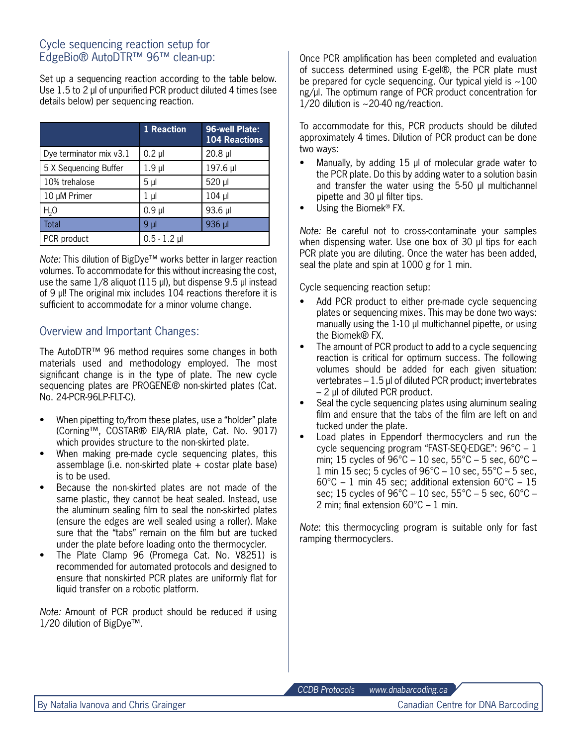#### Cycle sequencing reaction setup for EdgeBio® AutoDTR™ 96™ clean-up:

Set up a sequencing reaction according to the table below. Use 1.5 to 2 μl of unpurified PCR product diluted 4 times (see details below) per sequencing reaction.

|                         | 1 Reaction     | 96-well Plate:<br><b>104 Reactions</b> |
|-------------------------|----------------|----------------------------------------|
| Dye terminator mix v3.1 | $0.2$ $\mu$    | $20.8$ µ                               |
| 5 X Sequencing Buffer   | $1.9$ µ        | 197.6 µl                               |
| 10% trehalose           | 5 <sub>µ</sub> | 520 µl                                 |
| 10 µM Primer            | 1 µl           | $104$ µ                                |
| $H2$ O                  | $0.9$ $\mu$    | 93.6 µl                                |
| Total                   | 9 µI           | 936 µl                                 |
| PCR product             | $0.5 - 1.2$ µl |                                        |

*Note:* This dilution of BigDye™ works better in larger reaction volumes. To accommodate for this without increasing the cost, use the same 1/8 aliquot (115 μl), but dispense 9.5 μl instead of 9 μl! The original mix includes 104 reactions therefore it is sufficient to accommodate for a minor volume change.

### Overview and Important Changes:

The AutoDTR™ 96 method requires some changes in both materials used and methodology employed. The most significant change is in the type of plate. The new cycle sequencing plates are PROGENE® non-skirted plates (Cat. No. 24-PCR-96LP-FLT-C).

- When pipetting to/from these plates, use a "holder" plate (Corning™, COSTAR® EIA/RIA plate, Cat. No. 9017) which provides structure to the non-skirted plate.
- When making pre-made cycle sequencing plates, this assemblage (i.e. non-skirted plate + costar plate base) is to be used.
- Because the non-skirted plates are not made of the same plastic, they cannot be heat sealed. Instead, use the aluminum sealing film to seal the non-skirted plates (ensure the edges are well sealed using a roller). Make sure that the "tabs" remain on the film but are tucked under the plate before loading onto the thermocycler.
- The Plate Clamp 96 (Promega Cat. No. V8251) is recommended for automated protocols and designed to ensure that nonskirted PCR plates are uniformly flat for liquid transfer on a robotic platform.

*Note:* Amount of PCR product should be reduced if using 1/20 dilution of BigDye™.

Once PCR amplification has been completed and evaluation of success determined using E-gel®, the PCR plate must be prepared for cycle sequencing. Our typical yield is  $\sim$ 100 ng/μl. The optimum range of PCR product concentration for  $1/20$  dilution is  $\sim$  20-40 ng/reaction.

To accommodate for this, PCR products should be diluted approximately 4 times. Dilution of PCR product can be done two ways:

- Manually, by adding  $15 \mu l$  of molecular grade water to the PCR plate. Do this by adding water to a solution basin and transfer the water using the 5-50 µl multichannel pipette and 30 µl filter tips.
- Using the Biomek<sup>®</sup> FX.

*Note:* Be careful not to cross-contaminate your samples when dispensing water. Use one box of 30 μl tips for each PCR plate you are diluting. Once the water has been added, seal the plate and spin at 1000 g for 1 min.

Cycle sequencing reaction setup:

- Add PCR product to either pre-made cycle sequencing plates or sequencing mixes. This may be done two ways: manually using the 1-10 μl multichannel pipette, or using the Biomek® FX.
- The amount of PCR product to add to a cycle sequencing reaction is critical for optimum success. The following volumes should be added for each given situation: vertebrates – 1.5 μl of diluted PCR product; invertebrates – 2 μl of diluted PCR product.
- Seal the cycle sequencing plates using aluminum sealing film and ensure that the tabs of the film are left on and tucked under the plate.
- • Load plates in Eppendorf thermocyclers and run the cycle sequencing program "FAST-SEQ-EDGE": 96°C – 1 min; 15 cycles of 96°C – 10 sec, 55°C – 5 sec, 60°C – 1 min 15 sec; 5 cycles of  $96^{\circ}$ C – 10 sec,  $55^{\circ}$ C – 5 sec,  $60^{\circ}$ C – 1 min 45 sec; additional extension  $60^{\circ}$ C – 15 sec; 15 cycles of  $96^{\circ}$ C – 10 sec,  $55^{\circ}$ C – 5 sec,  $60^{\circ}$ C – 2 min; final extension 60°C – 1 min.

*Note*: this thermocycling program is suitable only for fast ramping thermocyclers.